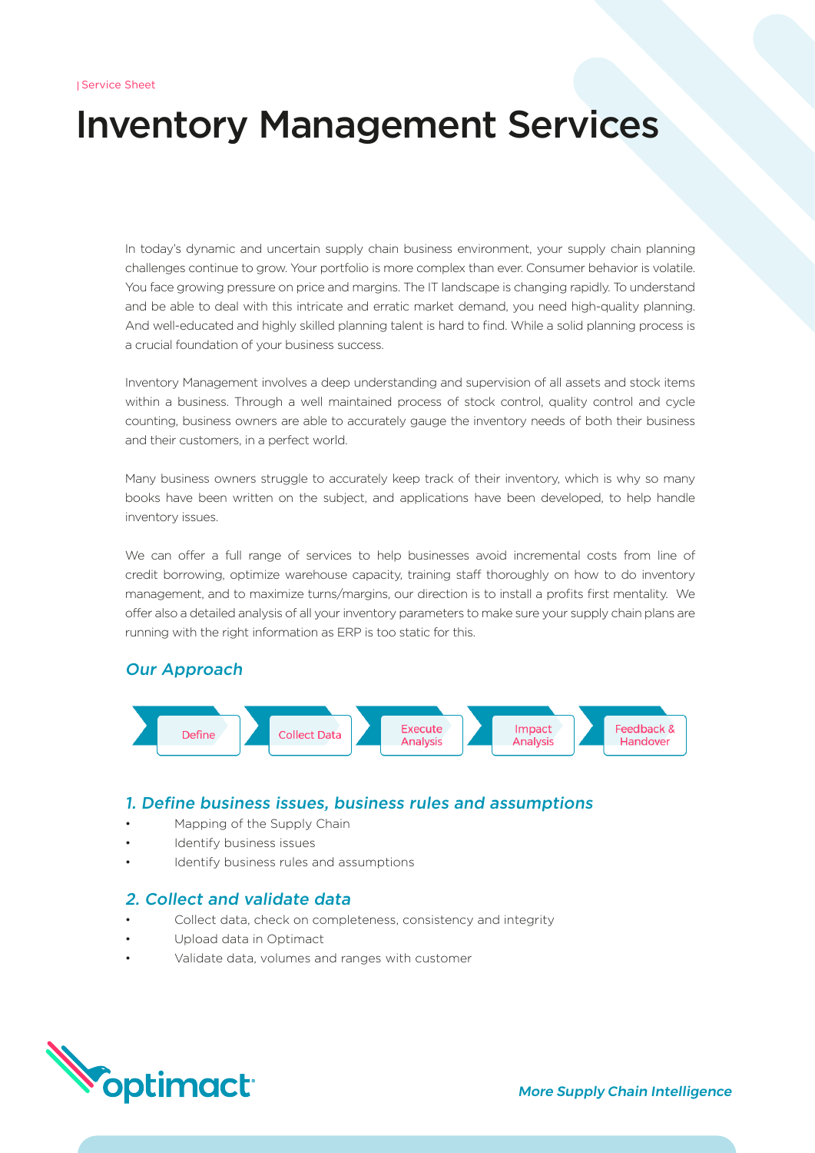# Inventory Management Services

In today's dynamic and uncertain supply chain business environment, your supply chain planning challenges continue to grow. Your portfolio is more complex than ever. Consumer behavior is volatile. You face growing pressure on price and margins. The IT landscape is changing rapidly. To understand and be able to deal with this intricate and erratic market demand, you need high-quality planning. And well-educated and highly skilled planning talent is hard to find. While a solid planning process is a crucial foundation of your business success.

Inventory Management involves a deep understanding and supervision of all assets and stock items within a business. Through a well maintained process of stock control, quality control and cycle counting, business owners are able to accurately gauge the inventory needs of both their business and their customers, in a perfect world.

Many business owners struggle to accurately keep track of their inventory, which is why so many books have been written on the subject, and applications have been developed, to help handle inventory issues.

We can offer a full range of services to help businesses avoid incremental costs from line of credit borrowing, optimize warehouse capacity, training staff thoroughly on how to do inventory management, and to maximize turns/margins, our direction is to install a profits first mentality. We offer also a detailed analysis of all your inventory parameters to make sure your supply chain plans are running with the right information as ERP is too static for this.

# Our Approach



## 1. Define business issues, business rules and assumptions

- Mapping of the Supply Chain
- Identify business issues
- Identify business rules and assumptions

## 2. Collect and validate data

- Collect data, check on completeness, consistency and integrity
- Upload data in Optimact
- Validate data, volumes and ranges with customer

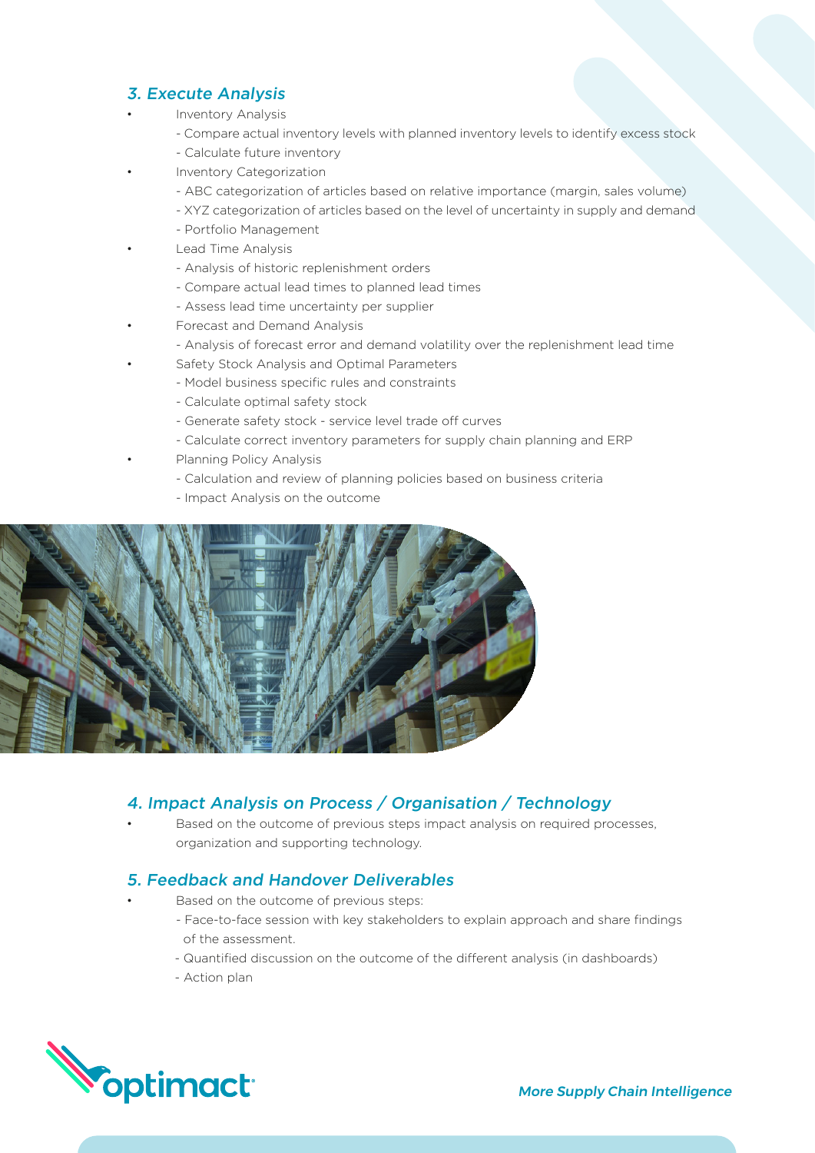# 3. Execute Analysis

- Inventory Analysis
	- Compare actual inventory levels with planned inventory levels to identify excess stock
	- Calculate future inventory
- Inventory Categorization
	- ABC categorization of articles based on relative importance (margin, sales volume)
	- XYZ categorization of articles based on the level of uncertainty in supply and demand
	- Portfolio Management
- Lead Time Analysis
	- Analysis of historic replenishment orders
	- Compare actual lead times to planned lead times
	- Assess lead time uncertainty per supplier
- Forecast and Demand Analysis
	- Analysis of forecast error and demand volatility over the replenishment lead time
- Safety Stock Analysis and Optimal Parameters
	- Model business specific rules and constraints
		- Calculate optimal safety stock
		- Generate safety stock service level trade off curves
		- Calculate correct inventory parameters for supply chain planning and ERP • Planning Policy Analysis
		- Calculation and review of planning policies based on business criteria
		- Impact Analysis on the outcome



# 4. Impact Analysis on Process / Organisation / Technology

Based on the outcome of previous steps impact analysis on required processes, organization and supporting technology.

## 5. Feedback and Handover Deliverables

- Based on the outcome of previous steps:
- Face-to-face session with key stakeholders to explain approach and share findings of the assessment.
- Quantified discussion on the outcome of the different analysis (in dashboards)
- Action plan